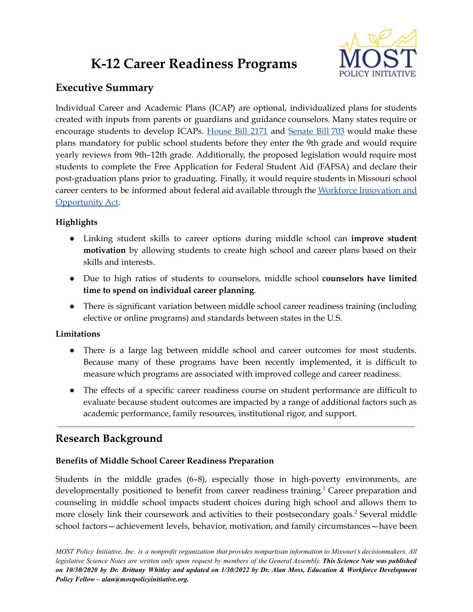# **K-12 Career Readiness Programs**



## **Executive Summary**

Individual Career and Academic Plans (ICAP) are optional, individualized plans for students created with inputs from parents or guardians and guidance counselors. Many states require or encourage students to develop ICAPs. [House](https://www.house.mo.gov/Bill.aspx?bill=HB2171&year=2022&code=R) Bill 2171 and [Senate](https://www.senate.mo.gov/22info/BTS_Web/Bill.aspx?SessionType=R&BillID=71259852) Bill 703 would make these plans mandatory for public school students before they enter the 9th grade and would require yearly reviews from 9th–12th grade. Additionally, the proposed legislation would require most students to complete the Free Application for Federal Student Aid (FAFSA) and declare their post-graduation plans prior to graduating. Finally, it would require students in Missouri school career centers to be informed about federal aid available through the Workforce [Innovation](https://www.dol.gov/agencies/eta/wioa) and [Opportunity](https://www.dol.gov/agencies/eta/wioa) Act.

## **Highlights**

- Linking student skills to career options during middle school can **improve student motivation** by allowing students to create high school and career plans based on their skills and interests.
- Due to high ratios of students to counselors, middle school **counselors have limited time to spend on individual career planning**.
- There is significant variation between middle school career readiness training (including elective or online programs) and standards between states in the U.S.

## **Limitations**

- There is a large lag between middle school and career outcomes for most students. Because many of these programs have been recently implemented, it is difficult to measure which programs are associated with improved college and career readiness.
- The effects of a specific career readiness course on student performance are difficult to evaluate because student outcomes are impacted by a range of additional factors such as academic performance, family resources, institutional rigor, and support.

# **Research Background**

## **Benefits of Middle School Career Readiness Preparation**

Students in the middle grades (6–8), especially those in high-poverty environments, are developmentally positioned to benefit from career readiness training.<sup>1</sup> Career preparation and counseling in middle school impacts student choices during high school and allows them to more closely link their coursework and activities to their postsecondary goals. <sup>2</sup> Several middle school factors—achievement levels, behavior, motivation, and family circumstances—have been

MOST Policy Initiative, Inc. is a nonprofit organization that provides nonpartisan information to Missouri's decisionmakers. All legislative Science Notes are written only upon request by members of the General Assembly. This Science Note was published on 10/30/2020 by Dr. Brittany Whitley and updated on 1/30/2022 by Dr. Alan Moss, Education & Workforce Development *Policy Fellow – alan@mostpolicyinitiative.org.*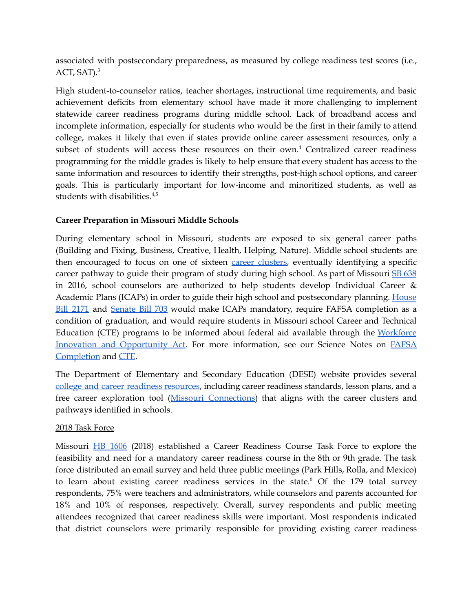associated with postsecondary preparedness, as measured by college readiness test scores (i.e., ACT, SAT).<sup>3</sup>

High student-to-counselor ratios, teacher shortages, instructional time requirements, and basic achievement deficits from elementary school have made it more challenging to implement statewide career readiness programs during middle school. Lack of broadband access and incomplete information, especially for students who would be the first in their family to attend college, makes it likely that even if states provide online career assessment resources, only a subset of students will access these resources on their own. <sup>4</sup> Centralized career readiness programming for the middle grades is likely to help ensure that every student has access to the same information and resources to identify their strengths, post-high school options, and career goals. This is particularly important for low-income and minoritized students, as well as students with disabilities. 4,5

### **Career Preparation in Missouri Middle Schools**

During elementary school in Missouri, students are exposed to six general career paths (Building and Fixing, Business, Creative, Health, Helping, Nature). Middle school students are then encouraged to focus on one of sixteen career [clusters,](https://dese.mo.gov/college-career-readiness/career-education/career-clusters) eventually identifying a specific career pathway to guide their program of study during high school. As part of Missouri SB [638](https://www.senate.mo.gov/16info/BTS_Web/Bill.aspx?SessionType=R&BillID=22246585) in 2016, school counselors are authorized to help students develop Individual Career & Academic Plans (ICAPs) in order to guide their high school and postsecondary planning. [House](https://www.house.mo.gov/Bill.aspx?bill=HB2171&year=2022&code=R) Bill [2171](https://www.house.mo.gov/Bill.aspx?bill=HB2171&year=2022&code=R) and [Senate](https://www.senate.mo.gov/22info/BTS_Web/Bill.aspx?SessionType=R&BillID=71259852) Bill 703 would make ICAPs mandatory, require FAFSA completion as a condition of graduation, and would require students in Missouri school Career and Technical Education (CTE) programs to be informed about federal aid available through the [Workforce](https://www.dol.gov/agencies/eta/wioa) Innovation and [Opportunity](https://www.dol.gov/agencies/eta/wioa) Act. For more information, see our Science Notes on [FAFSA](https://mostpolicyinitiative.org/science-note/fafsa-application-completion/) [Completion](https://mostpolicyinitiative.org/science-note/fafsa-application-completion/) and [CTE](https://mostpolicyinitiative.org/science-note/career-and-technical-education-in-missouri/).

The Department of Elementary and Secondary Education (DESE) website provides several college and career readiness [resources,](https://dese.mo.gov/college-career-readiness) including career readiness standards, lesson plans, and a free career exploration tool (Missouri [Connections](https://portal.missouriconnections.org/)) that aligns with the career clusters and pathways identified in schools.

### 2018 Task Force

Missouri HB [1606](https://www.house.mo.gov/Bill.aspx?bill=HB1606&year=2018&code=R) (2018) established a Career Readiness Course Task Force to explore the feasibility and need for a mandatory career readiness course in the 8th or 9th grade. The task force distributed an email survey and held three public meetings (Park Hills, Rolla, and Mexico) to learn about existing career readiness services in the state. <sup>6</sup> Of the 179 total survey respondents, 75% were teachers and administrators, while counselors and parents accounted for 18% and 10% of responses, respectively. Overall, survey respondents and public meeting attendees recognized that career readiness skills were important. Most respondents indicated that district counselors were primarily responsible for providing existing career readiness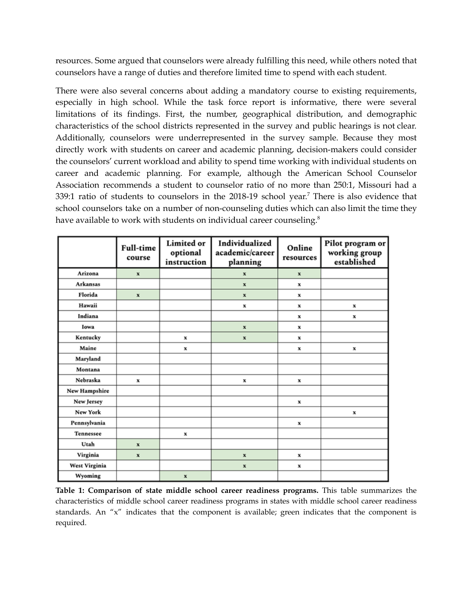resources. Some argued that counselors were already fulfilling this need, while others noted that counselors have a range of duties and therefore limited time to spend with each student.

There were also several concerns about adding a mandatory course to existing requirements, especially in high school. While the task force report is informative, there were several limitations of its findings. First, the number, geographical distribution, and demographic characteristics of the school districts represented in the survey and public hearings is not clear. Additionally, counselors were underrepresented in the survey sample. Because they most directly work with students on career and academic planning, decision-makers could consider the counselors' current workload and ability to spend time working with individual students on career and academic planning. For example, although the American School Counselor Association recommends a student to counselor ratio of no more than 250:1, Missouri had a 339:1 ratio of students to counselors in the 2018-19 school year. <sup>7</sup> There is also evidence that school counselors take on a number of non-counseling duties which can also limit the time they have available to work with students on individual career counseling.<sup>8</sup>

|                      | Full-time<br>course       | <b>Limited</b> or<br>optional<br>instruction | Individualized<br>academic/career<br>planning | Online<br>resources | Pilot program or<br>working group<br>established |
|----------------------|---------------------------|----------------------------------------------|-----------------------------------------------|---------------------|--------------------------------------------------|
| Arizona              | $\mathbf x$               |                                              | $\mathbf x$                                   | $\mathbf x$         |                                                  |
| <b>Arkansas</b>      |                           |                                              | $\mathbf x$                                   | x                   |                                                  |
| Florida              | $\boldsymbol{\mathrm{x}}$ |                                              | $\mathbf x$                                   | x                   |                                                  |
| Hawaii               |                           |                                              | x                                             | x                   | $\mathbf x$                                      |
| Indiana              |                           |                                              |                                               | x                   | $\mathbf x$                                      |
| Iowa                 |                           |                                              | $\mathbf x$                                   | x                   |                                                  |
| Kentucky             |                           | $\mathbf x$                                  | $\mathbf x$                                   | x                   |                                                  |
| Maine                |                           | x                                            |                                               | x                   | x                                                |
| Maryland             |                           |                                              |                                               |                     |                                                  |
| Montana              |                           |                                              |                                               |                     |                                                  |
| Nebraska             | $\mathbf x$               |                                              | x                                             | x                   |                                                  |
| New Hampshire        |                           |                                              |                                               |                     |                                                  |
| New Jersey           |                           |                                              |                                               | x                   |                                                  |
| New York             |                           |                                              |                                               |                     | x                                                |
| Pennsylvania         |                           |                                              |                                               | x                   |                                                  |
| Tennessee            |                           | $\mathbf x$                                  |                                               |                     |                                                  |
| Utah                 | $\mathbf x$               |                                              |                                               |                     |                                                  |
| Virginia             | $\mathbf x$               |                                              | $\mathbf x$                                   | x                   |                                                  |
| <b>West Virginia</b> |                           |                                              | $\mathbf x$                                   | x                   |                                                  |
| Wyoming              |                           | $\mathbf x$                                  |                                               |                     |                                                  |

**Table 1: Comparison of state middle school career readiness programs.** This table summarizes the characteristics of middle school career readiness programs in states with middle school career readiness standards. An "x" indicates that the component is available; green indicates that the component is required.